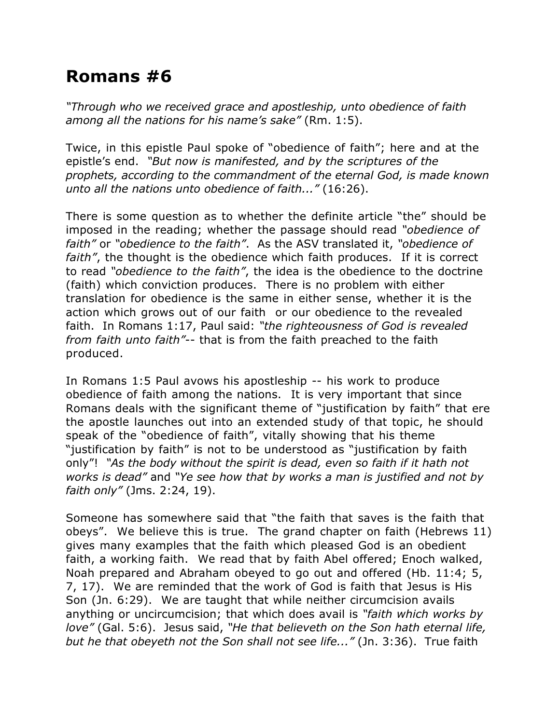## **Romans #6**

*"Through who we received grace and apostleship, unto obedience of faith among all the nations for his name's sake"* (Rm. 1:5).

Twice, in this epistle Paul spoke of "obedience of faith"; here and at the epistle's end. *"But now is manifested, and by the scriptures of the prophets, according to the commandment of the eternal God, is made known unto all the nations unto obedience of faith..."* (16:26).

There is some question as to whether the definite article "the" should be imposed in the reading; whether the passage should read *"obedience of faith"* or *"obedience to the faith"*. As the ASV translated it, *"obedience of faith"*, the thought is the obedience which faith produces. If it is correct to read *"obedience to the faith"*, the idea is the obedience to the doctrine (faith) which conviction produces. There is no problem with either translation for obedience is the same in either sense, whether it is the action which grows out of our faith or our obedience to the revealed faith. In Romans 1:17, Paul said: *"the righteousness of God is revealed from faith unto faith"*-- that is from the faith preached to the faith produced.

In Romans 1:5 Paul avows his apostleship -- his work to produce obedience of faith among the nations. It is very important that since Romans deals with the significant theme of "justification by faith" that ere the apostle launches out into an extended study of that topic, he should speak of the "obedience of faith", vitally showing that his theme "justification by faith" is not to be understood as "justification by faith only"! *"As the body without the spirit is dead, even so faith if it hath not works is dead"* and *"Ye see how that by works a man is justified and not by faith only"* (Jms. 2:24, 19).

Someone has somewhere said that "the faith that saves is the faith that obeys". We believe this is true. The grand chapter on faith (Hebrews 11) gives many examples that the faith which pleased God is an obedient faith, a working faith. We read that by faith Abel offered; Enoch walked, Noah prepared and Abraham obeyed to go out and offered (Hb. 11:4; 5, 7, 17). We are reminded that the work of God is faith that Jesus is His Son (Jn. 6:29). We are taught that while neither circumcision avails anything or uncircumcision; that which does avail is *"faith which works by love"* (Gal. 5:6). Jesus said, *"He that believeth on the Son hath eternal life, but he that obeyeth not the Son shall not see life..."* (Jn. 3:36). True faith